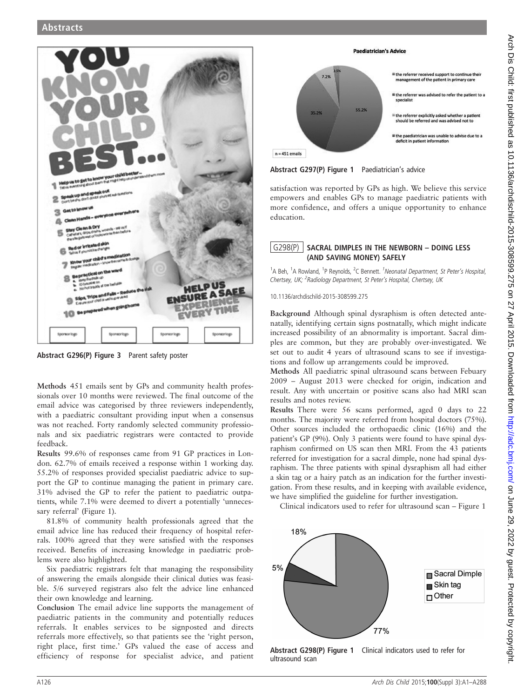

Abstract G296(P) Figure 3 Parent safety poster

Methods 451 emails sent by GPs and community health professionals over 10 months were reviewed. The final outcome of the email advice was categorised by three reviewers independently, with a paediatric consultant providing input when a consensus was not reached. Forty randomly selected community professionals and six paediatric registrars were contacted to provide feedback.

Results 99.6% of responses came from 91 GP practices in London. 62.7% of emails received a response within 1 working day. 55.2% of responses provided specialist paediatric advice to support the GP to continue managing the patient in primary care. 31% advised the GP to refer the patient to paediatric outpatients, while 7.1% were deemed to divert a potentially 'unnecessary referral' (Figure 1).

81.8% of community health professionals agreed that the email advice line has reduced their frequency of hospital referrals. 100% agreed that they were satisfied with the responses received. Benefits of increasing knowledge in paediatric problems were also highlighted.

Six paediatric registrars felt that managing the responsibility of answering the emails alongside their clinical duties was feasible. 5/6 surveyed registrars also felt the advice line enhanced their own knowledge and learning.

Conclusion The email advice line supports the management of paediatric patients in the community and potentially reduces referrals. It enables services to be signposted and directs referrals more effectively, so that patients see the 'right person, right place, first time.' GPs valued the ease of access and efficiency of response for specialist advice, and patient

#### **Paediatrician's Advice**



#### Abstract G297(P) Figure 1 Paediatrician's advice

satisfaction was reported by GPs as high. We believe this service empowers and enables GPs to manage paediatric patients with more confidence, and offers a unique opportunity to enhance education.

# $G298(P)$  SACRAL DIMPLES IN THE NEWBORN – DOING LESS (AND SAVING MONEY) SAFELY

<sup>1</sup>A Beh, <sup>1</sup>A Rowland, <sup>1</sup>P Reynolds, <sup>2</sup>C Bennett. <sup>1</sup> Neonatal Department, St Peter's Hospital, Chertsey, UK; <sup>2</sup>Radiology Department, St Peter's Hospital, Chertsey, UK

10.1136/archdischild-2015-308599.275

Background Although spinal dysraphism is often detected antenatally, identifying certain signs postnatally, which might indicate increased possibility of an abnormality is important. Sacral dimples are common, but they are probably over-investigated. We set out to audit 4 years of ultrasound scans to see if investigations and follow up arrangements could be improved.

Methods All paediatric spinal ultrasound scans between Febuary 2009 – August 2013 were checked for origin, indication and result. Any with uncertain or positive scans also had MRI scan results and notes review.

Results There were 56 scans performed, aged 0 days to 22 months. The majority were referred from hospital doctors (75%). Other sources included the orthopaedic clinic (16%) and the patient's GP (9%). Only 3 patients were found to have spinal dysraphism confirmed on US scan then MRI. From the 43 patients referred for investigation for a sacral dimple, none had spinal dysraphism. The three patients with spinal dysraphism all had either a skin tag or a hairy patch as an indication for the further investigation. From these results, and in keeping with available evidence, we have simplified the guideline for further investigation.

Clinical indicators used to refer for ultrasound scan – Figure 1



Abstract G298(P) Figure 1 Clinical indicators used to refer for ultrasound scan